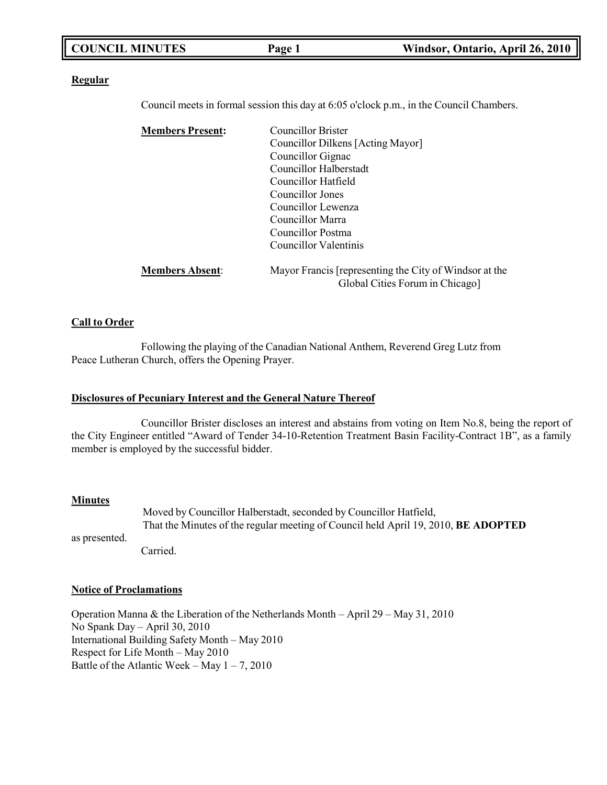| <b>COUNCIL MINUTES</b> | Page 1 | Windsor, Ontario, April 26, 2010 |
|------------------------|--------|----------------------------------|
|                        |        |                                  |

#### **Regular**

Council meets in formal session this day at 6:05 o'clock p.m., in the Council Chambers.

| <b>Members Present:</b> | <b>Councillor Brister</b>                              |  |
|-------------------------|--------------------------------------------------------|--|
|                         | Councillor Dilkens [Acting Mayor]                      |  |
|                         | Councillor Gignac                                      |  |
|                         | Councillor Halberstadt                                 |  |
|                         | Councillor Hatfield                                    |  |
|                         | Councillor Jones                                       |  |
|                         | Councillor Lewenza                                     |  |
|                         | Councillor Marra                                       |  |
|                         | Councillor Postma                                      |  |
|                         | Councillor Valentinis                                  |  |
| <b>Members Absent:</b>  | Mayor Francis [representing the City of Windsor at the |  |
|                         | Global Cities Forum in Chicago]                        |  |

#### **Call to Order**

Following the playing of the Canadian National Anthem, Reverend Greg Lutz from Peace Lutheran Church, offers the Opening Prayer.

#### **Disclosures of Pecuniary Interest and the General Nature Thereof**

Councillor Brister discloses an interest and abstains from voting on Item No.8, being the report of the City Engineer entitled "Award of Tender 34-10-Retention Treatment Basin Facility-Contract 1B", as a family member is employed by the successful bidder.

#### **Minutes**

as presented. Moved by Councillor Halberstadt, seconded by Councillor Hatfield, That the Minutes of the regular meeting of Council held April 19, 2010, **BE ADOPTED**

Carried.

#### **Notice of Proclamations**

Operation Manna & the Liberation of the Netherlands Month – April 29 – May 31, 2010 No Spank Day – April 30, 2010 International Building Safety Month – May 2010 Respect for Life Month – May 2010 Battle of the Atlantic Week – May  $1 - 7$ , 2010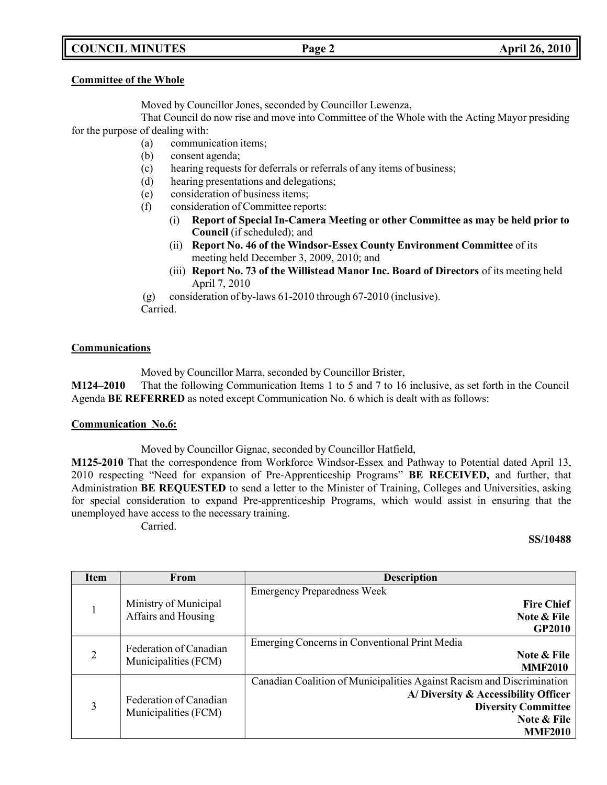# **COUNCIL MINUTES Page 2 April 26, 2010**

#### **Committee of the Whole**

Moved by Councillor Jones, seconded by Councillor Lewenza,

That Council do now rise and move into Committee of the Whole with the Acting Mayor presiding for the purpose of dealing with:

- (a) communication items;
- (b) consent agenda;
- (c) hearing requests for deferrals or referrals of any items of business;
- (d) hearing presentations and delegations;
- (e) consideration of business items;
- (f) consideration of Committee reports:
	- (i) **Report of Special In-Camera Meeting or other Committee as may be held prior to Council** (if scheduled); and
	- (ii) **Report No. 46 of the Windsor-Essex County Environment Committee** of its meeting held December 3, 2009, 2010; and
	- (iii) **Report No. 73 of the Willistead Manor Inc. Board of Directors** of its meeting held April 7, 2010

(g) consideration of by-laws 61-2010 through 67-2010 (inclusive). Carried.

### **Communications**

Moved by Councillor Marra, seconded by Councillor Brister,

**M124–2010** That the following Communication Items 1 to 5 and 7 to 16 inclusive, as set forth in the Council Agenda **BE REFERRED** as noted except Communication No. 6 which is dealt with as follows:

### **Communication No.6:**

Moved by Councillor Gignac, seconded by Councillor Hatfield,

**M125-2010** That the correspondence from Workforce Windsor-Essex and Pathway to Potential dated April 13, 2010 respecting "Need for expansion of Pre-Apprenticeship Programs" **BE RECEIVED,** and further, that Administration **BE REQUESTED** to send a letter to the Minister of Training, Colleges and Universities, asking for special consideration to expand Pre-apprenticeship Programs, which would assist in ensuring that the unemployed have access to the necessary training.

Carried.

#### **SS/10488**

| <b>Item</b>    | From                                           | <b>Description</b>                                                                                                                                                           |
|----------------|------------------------------------------------|------------------------------------------------------------------------------------------------------------------------------------------------------------------------------|
|                | Ministry of Municipal<br>Affairs and Housing   | <b>Emergency Preparedness Week</b><br><b>Fire Chief</b><br>Note & File<br><b>GP2010</b>                                                                                      |
| $\overline{2}$ | Federation of Canadian<br>Municipalities (FCM) | Emerging Concerns in Conventional Print Media<br>Note & File<br><b>MMF2010</b>                                                                                               |
| 3              | Federation of Canadian<br>Municipalities (FCM) | Canadian Coalition of Municipalities Against Racism and Discrimination<br>A/Diversity & Accessibility Officer<br><b>Diversity Committee</b><br>Note & File<br><b>MMF2010</b> |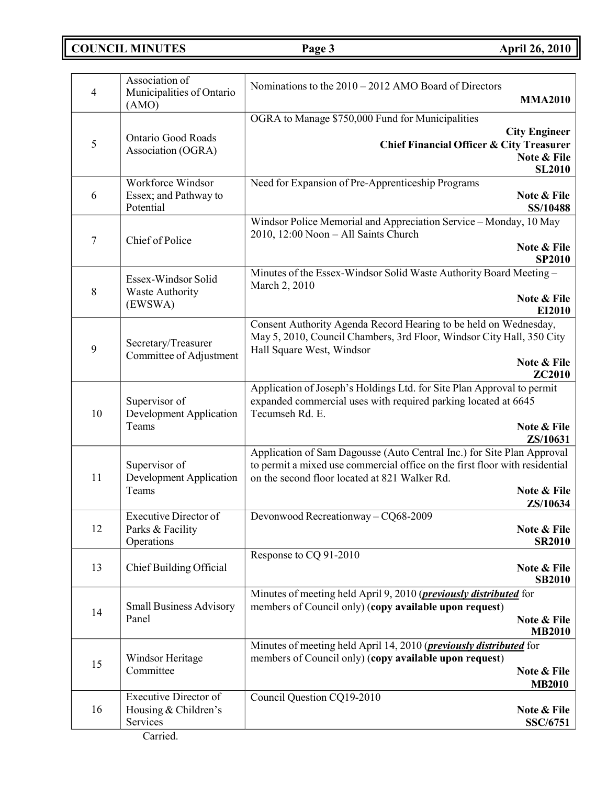**COUNCIL MINUTES Page 3 April 26, 2010**

| $\overline{4}$ | Association of<br>Municipalities of Ontario<br>(AMO)                         | Nominations to the $2010 - 2012$ AMO Board of Directors<br><b>MMA2010</b>                                                                                                                                                         |
|----------------|------------------------------------------------------------------------------|-----------------------------------------------------------------------------------------------------------------------------------------------------------------------------------------------------------------------------------|
| 5              | <b>Ontario Good Roads</b><br>Association (OGRA)                              | OGRA to Manage \$750,000 Fund for Municipalities<br><b>City Engineer</b><br><b>Chief Financial Officer &amp; City Treasurer</b><br>Note & File<br><b>SL2010</b>                                                                   |
| 6              | Workforce Windsor<br>Essex; and Pathway to<br>Potential                      | Need for Expansion of Pre-Apprenticeship Programs<br>Note & File<br>SS/10488                                                                                                                                                      |
| 7              | Chief of Police                                                              | Windsor Police Memorial and Appreciation Service - Monday, 10 May<br>2010, 12:00 Noon - All Saints Church<br>Note & File<br><b>SP2010</b>                                                                                         |
| 8              | Essex-Windsor Solid<br>Waste Authority<br>(EWSWA)                            | Minutes of the Essex-Windsor Solid Waste Authority Board Meeting -<br>March 2, 2010<br>Note & File<br>EI2010                                                                                                                      |
| 9              | Secretary/Treasurer<br>Committee of Adjustment                               | Consent Authority Agenda Record Hearing to be held on Wednesday,<br>May 5, 2010, Council Chambers, 3rd Floor, Windsor City Hall, 350 City<br>Hall Square West, Windsor<br>Note & File<br><b>ZC2010</b>                            |
| 10             | Supervisor of<br><b>Development Application</b><br>Teams                     | Application of Joseph's Holdings Ltd. for Site Plan Approval to permit<br>expanded commercial uses with required parking located at 6645<br>Tecumseh Rd. E.<br>Note & File<br>ZS/10631                                            |
| 11             | Supervisor of<br><b>Development Application</b><br>Teams                     | Application of Sam Dagousse (Auto Central Inc.) for Site Plan Approval<br>to permit a mixed use commercial office on the first floor with residential<br>on the second floor located at 821 Walker Rd.<br>Note & File<br>ZS/10634 |
| 12             | <b>Executive Director of</b><br>Parks & Facility<br>Operations               | Devonwood Recreationway - $C\overline{Q68-2009}$<br>Note & File<br><b>SR2010</b>                                                                                                                                                  |
| 13             | Chief Building Official                                                      | Response to CQ 91-2010<br>Note & File<br><b>SB2010</b>                                                                                                                                                                            |
| 14             | <b>Small Business Advisory</b><br>Panel                                      | Minutes of meeting held April 9, 2010 ( <i>previously distributed</i> for<br>members of Council only) (copy available upon request)<br>Note & File<br><b>MB2010</b>                                                               |
| 15             | Windsor Heritage<br>Committee                                                | Minutes of meeting held April 14, 2010 ( <i>previously distributed</i> for<br>members of Council only) (copy available upon request)<br>Note & File<br><b>MB2010</b>                                                              |
| 16             | <b>Executive Director of</b><br>Housing & Children's<br>Services<br>Carried. | Council Question CQ19-2010<br>Note & File<br>SSC/6751                                                                                                                                                                             |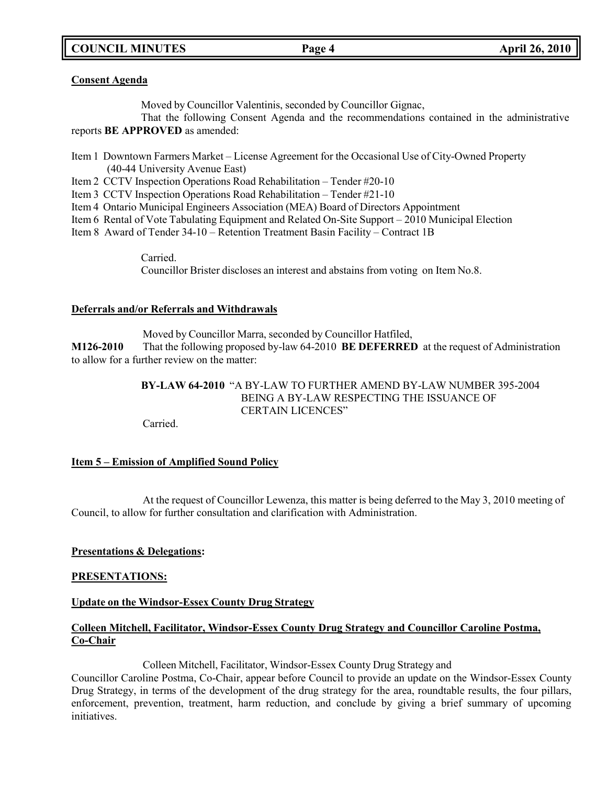# **COUNCIL MINUTES Page 4 April 26, 2010**

#### **Consent Agenda**

Moved by Councillor Valentinis, seconded by Councillor Gignac,

That the following Consent Agenda and the recommendations contained in the administrative reports **BE APPROVED** as amended:

Item 1 Downtown Farmers Market – License Agreement for the Occasional Use of City-Owned Property (40-44 University Avenue East)

Item 2 CCTV Inspection Operations Road Rehabilitation – Tender #20-10

Item 3 CCTV Inspection Operations Road Rehabilitation – Tender #21-10

Item 4 Ontario Municipal Engineers Association (MEA) Board of Directors Appointment

Item 6 Rental of Vote Tabulating Equipment and Related On-Site Support – 2010 Municipal Election

Item 8 Award of Tender 34-10 – Retention Treatment Basin Facility – Contract 1B

Carried. Councillor Brister discloses an interest and abstains from voting on Item No.8.

### **Deferrals and/or Referrals and Withdrawals**

Moved by Councillor Marra, seconded by Councillor Hatfiled, **M126-2010** That the following proposed by-law 64-2010 **BE DEFERRED** at the request of Administration to allow for a further review on the matter:

# **BY-LAW 64-2010** "A BY-LAW TO FURTHER AMEND BY-LAW NUMBER 395-2004 BEING A BY-LAW RESPECTING THE ISSUANCE OF CERTAIN LICENCES"

Carried.

# **Item 5 – Emission of Amplified Sound Policy**

At the request of Councillor Lewenza, this matter is being deferred to the May 3, 2010 meeting of Council, to allow for further consultation and clarification with Administration.

### **Presentations & Delegations:**

### **PRESENTATIONS:**

### **Update on the Windsor-Essex County Drug Strategy**

### **Colleen Mitchell, Facilitator, Windsor-Essex County Drug Strategy and Councillor Caroline Postma, Co-Chair**

Colleen Mitchell, Facilitator, Windsor-Essex County Drug Strategy and

Councillor Caroline Postma, Co-Chair, appear before Council to provide an update on the Windsor-Essex County Drug Strategy, in terms of the development of the drug strategy for the area, roundtable results, the four pillars, enforcement, prevention, treatment, harm reduction, and conclude by giving a brief summary of upcoming initiatives.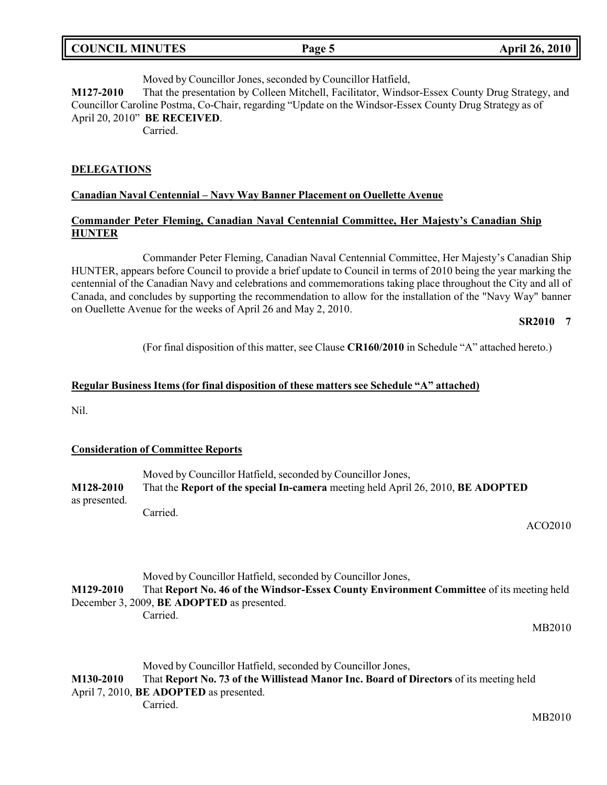| <b>COUNCIL MINUTES</b> | Page 5 | <b>April 26, 2010</b> |
|------------------------|--------|-----------------------|
|                        |        |                       |

Moved by Councillor Jones, seconded by Councillor Hatfield, **M127-2010** That the presentation by Colleen Mitchell, Facilitator, Windsor-Essex County Drug Strategy, and Councillor Caroline Postma, Co-Chair, regarding "Update on the Windsor-Essex County Drug Strategy as of April 20, 2010" **BE RECEIVED**.

Carried.

#### **DELEGATIONS**

#### **Canadian Naval Centennial – Navy Way Banner Placement on Ouellette Avenue**

### **Commander Peter Fleming, Canadian Naval Centennial Committee, Her Majesty's Canadian Ship HUNTER**

Commander Peter Fleming, Canadian Naval Centennial Committee, Her Majesty's Canadian Ship HUNTER, appears before Council to provide a brief update to Council in terms of 2010 being the year marking the centennial of the Canadian Navy and celebrations and commemorations taking place throughout the City and all of Canada, and concludes by supporting the recommendation to allow for the installation of the "Navy Way" banner on Ouellette Avenue for the weeks of April 26 and May 2, 2010.

### **SR2010 7**

(For final disposition of this matter, see Clause **CR160/2010** in Schedule "A" attached hereto.)

#### **Regular Business Items (for final disposition of these matters see Schedule "A" attached)**

Nil.

### **Consideration of Committee Reports**

Carried.

|               | Moved by Councillor Hatfield, seconded by Councillor Jones,                      |  |
|---------------|----------------------------------------------------------------------------------|--|
| M128-2010     | That the Report of the special In-camera meeting held April 26, 2010, BE ADOPTED |  |
| as presented. |                                                                                  |  |
|               | Carried.                                                                         |  |

ACO2010

### Moved by Councillor Hatfield, seconded by Councillor Jones, **M129-2010** That **Report No. 46 of the Windsor-Essex County Environment Committee** of its meeting held December 3, 2009, **BE ADOPTED** as presented.

MB2010

Moved by Councillor Hatfield, seconded by Councillor Jones,

**M130-2010** That **Report No. 73 of the Willistead Manor Inc. Board of Directors** of its meeting held April 7, 2010, **BE ADOPTED** as presented. Carried.

MB2010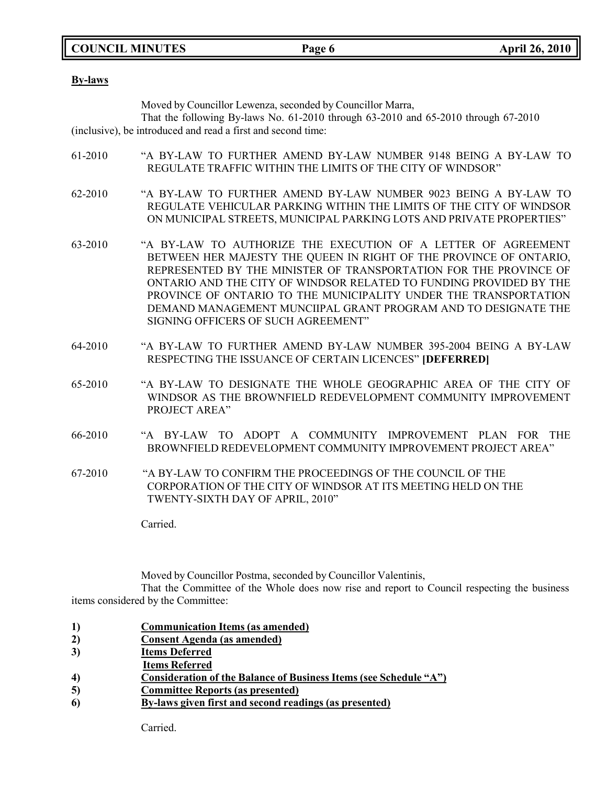**COUNCIL MINUTES Page 6 April 26, 2010**

**By-laws**

Moved by Councillor Lewenza, seconded by Councillor Marra,

That the following By-laws No. 61-2010 through 63-2010 and 65-2010 through 67-2010 (inclusive), be introduced and read a first and second time:

- 61-2010 "A BY-LAW TO FURTHER AMEND BY-LAW NUMBER 9148 BEING A BY-LAW TO REGULATE TRAFFIC WITHIN THE LIMITS OF THE CITY OF WINDSOR"
- 62-2010 "A BY-LAW TO FURTHER AMEND BY-LAW NUMBER 9023 BEING A BY-LAW TO REGULATE VEHICULAR PARKING WITHIN THE LIMITS OF THE CITY OF WINDSOR ON MUNICIPAL STREETS, MUNICIPAL PARKING LOTS AND PRIVATE PROPERTIES"
- 63-2010 "A BY-LAW TO AUTHORIZE THE EXECUTION OF A LETTER OF AGREEMENT BETWEEN HER MAJESTY THE QUEEN IN RIGHT OF THE PROVINCE OF ONTARIO, REPRESENTED BY THE MINISTER OF TRANSPORTATION FOR THE PROVINCE OF ONTARIO AND THE CITY OF WINDSOR RELATED TO FUNDING PROVIDED BY THE PROVINCE OF ONTARIO TO THE MUNICIPALITY UNDER THE TRANSPORTATION DEMAND MANAGEMENT MUNCIIPAL GRANT PROGRAM AND TO DESIGNATE THE SIGNING OFFICERS OF SUCH AGREEMENT"
- 64-2010 "A BY-LAW TO FURTHER AMEND BY-LAW NUMBER 395-2004 BEING A BY-LAW RESPECTING THE ISSUANCE OF CERTAIN LICENCES" **[DEFERRED]**
- 65-2010 "A BY-LAW TO DESIGNATE THE WHOLE GEOGRAPHIC AREA OF THE CITY OF WINDSOR AS THE BROWNFIELD REDEVELOPMENT COMMUNITY IMPROVEMENT PROJECT AREA"
- 66-2010 "A BY-LAW TO ADOPT A COMMUNITY IMPROVEMENT PLAN FOR THE BROWNFIELD REDEVELOPMENT COMMUNITY IMPROVEMENT PROJECT AREA"
- 67-2010 "A BY-LAW TO CONFIRM THE PROCEEDINGS OF THE COUNCIL OF THE CORPORATION OF THE CITY OF WINDSOR AT ITS MEETING HELD ON THE TWENTY-SIXTH DAY OF APRIL, 2010"

Carried.

Moved by Councillor Postma, seconded by Councillor Valentinis,

That the Committee of the Whole does now rise and report to Council respecting the business items considered by the Committee:

- **1) Communication Items (as amended)**
- **2) Consent Agenda (as amended)**
- **3) Items Deferred**
- **Items Referred**
- **4) Consideration of the Balance of Business Items (see Schedule "A")**
- **5) Committee Reports (as presented)**
- **6) By-laws given first and second readings (as presented)**

Carried.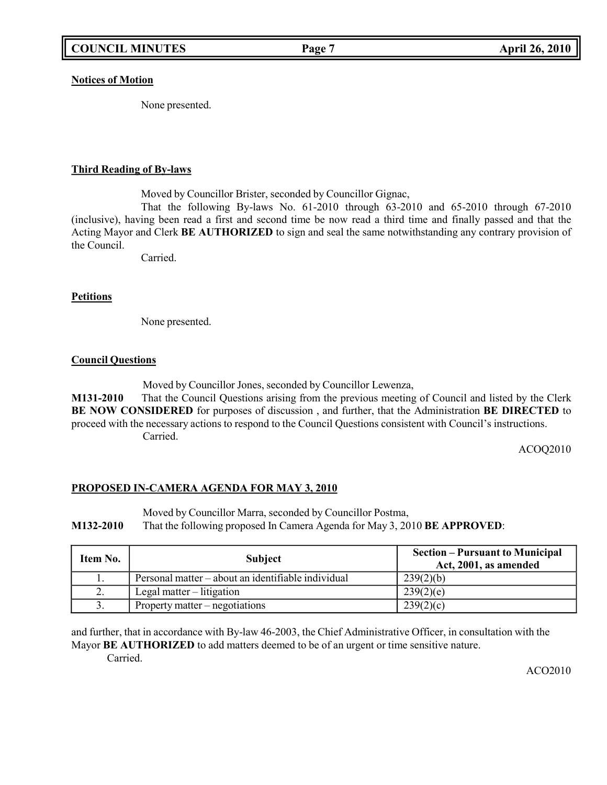#### **Notices of Motion**

None presented.

### **Third Reading of By-laws**

Moved by Councillor Brister, seconded by Councillor Gignac,

That the following By-laws No. 61-2010 through 63-2010 and 65-2010 through 67-2010 (inclusive), having been read a first and second time be now read a third time and finally passed and that the Acting Mayor and Clerk **BE AUTHORIZED** to sign and seal the same notwithstanding any contrary provision of the Council.

Carried.

### **Petitions**

None presented.

### **Council Questions**

Moved by Councillor Jones, seconded by Councillor Lewenza,

**M131-2010** That the Council Questions arising from the previous meeting of Council and listed by the Clerk **BE NOW CONSIDERED** for purposes of discussion , and further, that the Administration **BE DIRECTED** to proceed with the necessary actions to respond to the Council Questions consistent with Council's instructions. Carried.

ACOQ2010

### **PROPOSED IN-CAMERA AGENDA FOR MAY 3, 2010**

Moved by Councillor Marra, seconded by Councillor Postma, **M132-2010** That the following proposed In Camera Agenda for May 3, 2010 **BE APPROVED**:

| Item No. | <b>Subject</b>                                     | <b>Section – Pursuant to Municipal</b><br>Act, 2001, as amended |
|----------|----------------------------------------------------|-----------------------------------------------------------------|
| .,       | Personal matter – about an identifiable individual | 239(2)(b)                                                       |
| 2.       | Legal matter $-$ litigation                        | 239(2)(e)                                                       |
| J.       | Property matter $-$ negotiations                   | 239(2)(c)                                                       |

and further, that in accordance with By-law 46-2003, the Chief Administrative Officer, in consultation with the Mayor **BE AUTHORIZED** to add matters deemed to be of an urgent or time sensitive nature. Carried.

ACO2010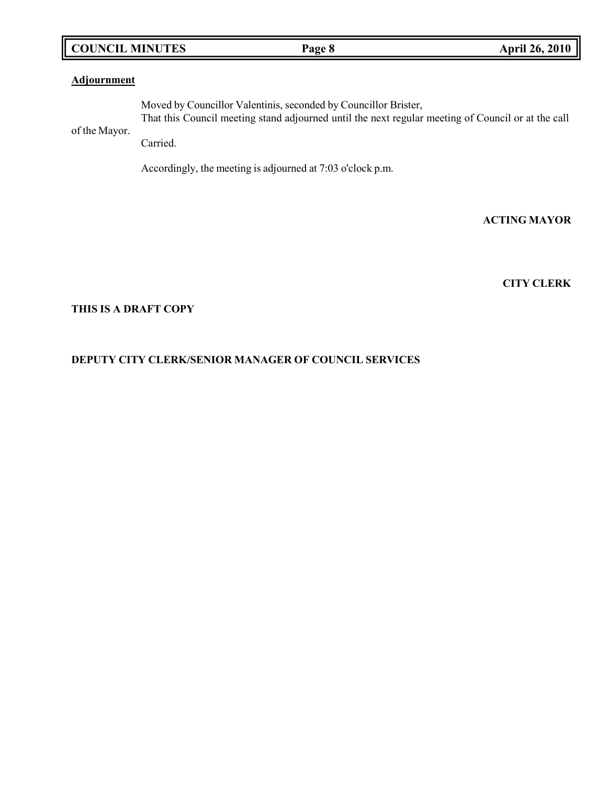# **COUNCIL MINUTES Page 8 April 26, 2010**

### **Adjournment**

of the Mayor. Moved by Councillor Valentinis, seconded by Councillor Brister, That this Council meeting stand adjourned until the next regular meeting of Council or at the call Carried.

Accordingly, the meeting is adjourned at 7:03 o'clock p.m.

### **ACTING MAYOR**

### **CITY CLERK**

### **THIS IS A DRAFT COPY**

# **DEPUTY CITY CLERK/SENIOR MANAGER OF COUNCIL SERVICES**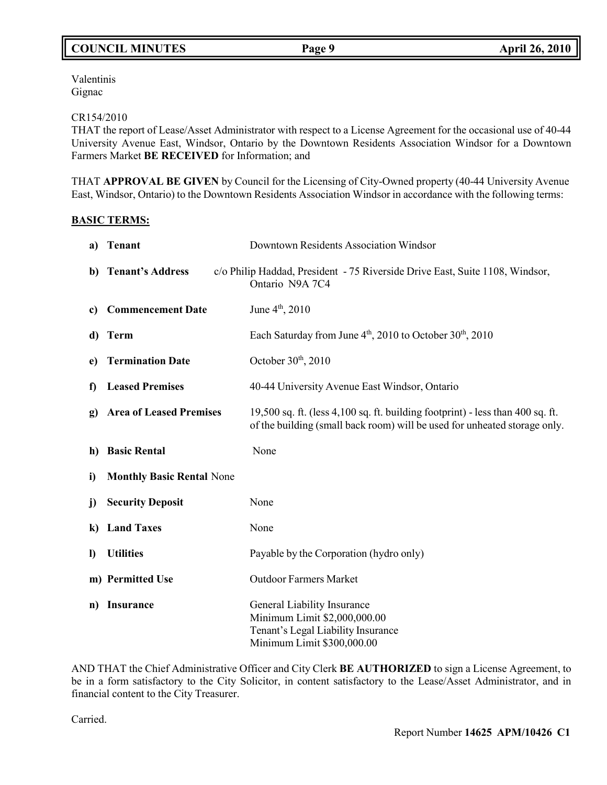Valentinis Gignac

### CR154/2010

THAT the report of Lease/Asset Administrator with respect to a License Agreement for the occasional use of 40-44 University Avenue East, Windsor, Ontario by the Downtown Residents Association Windsor for a Downtown Farmers Market **BE RECEIVED** for Information; and

THAT **APPROVAL BE GIVEN** by Council for the Licensing of City-Owned property (40-44 University Avenue East, Windsor, Ontario) to the Downtown Residents Association Windsor in accordance with the following terms:

### **BASIC TERMS:**

| a)       | <b>Tenant</b>                    | Downtown Residents Association Windsor                                                                                                                          |
|----------|----------------------------------|-----------------------------------------------------------------------------------------------------------------------------------------------------------------|
| b)       | <b>Tenant's Address</b>          | c/o Philip Haddad, President - 75 Riverside Drive East, Suite 1108, Windsor,<br>Ontario N9A 7C4                                                                 |
| c)       | <b>Commencement Date</b>         | June 4 <sup>th</sup> , 2010                                                                                                                                     |
| d)       | <b>Term</b>                      | Each Saturday from June $4th$ , 2010 to October 30 <sup>th</sup> , 2010                                                                                         |
| e)       | <b>Termination Date</b>          | October $30th$ , 2010                                                                                                                                           |
| f)       | <b>Leased Premises</b>           | 40-44 University Avenue East Windsor, Ontario                                                                                                                   |
| g)       | <b>Area of Leased Premises</b>   | 19,500 sq. ft. (less $4,100$ sq. ft. building footprint) - less than $400$ sq. ft.<br>of the building (small back room) will be used for unheated storage only. |
| h)       | <b>Basic Rental</b>              | None                                                                                                                                                            |
| i)       | <b>Monthly Basic Rental None</b> |                                                                                                                                                                 |
| j)       | <b>Security Deposit</b>          | None                                                                                                                                                            |
| $\bf k)$ | <b>Land Taxes</b>                | None                                                                                                                                                            |
| $\bf{D}$ | <b>Utilities</b>                 | Payable by the Corporation (hydro only)                                                                                                                         |
|          | m) Permitted Use                 | <b>Outdoor Farmers Market</b>                                                                                                                                   |
| n)       | <b>Insurance</b>                 | General Liability Insurance<br>Minimum Limit \$2,000,000.00<br>Tenant's Legal Liability Insurance<br>Minimum Limit \$300,000.00                                 |

AND THAT the Chief Administrative Officer and City Clerk **BE AUTHORIZED** to sign a License Agreement, to be in a form satisfactory to the City Solicitor, in content satisfactory to the Lease/Asset Administrator, and in financial content to the City Treasurer.

Carried.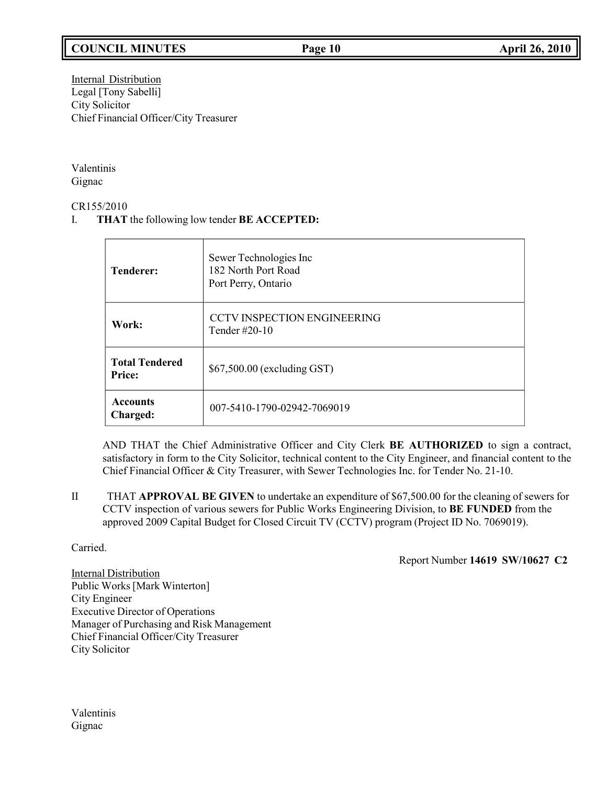# **COUNCIL MINUTES Page 10 April 26, 2010**

Internal Distribution Legal [Tony Sabelli] City Solicitor Chief Financial Officer/City Treasurer

Valentinis Gignac

CR155/2010

I. **THAT** the following low tender **BE ACCEPTED:**

| <b>Tenderer:</b>                       | Sewer Technologies Inc<br>182 North Port Road<br>Port Perry, Ontario |
|----------------------------------------|----------------------------------------------------------------------|
| Work:                                  | <b>CCTV INSPECTION ENGINEERING</b><br>Tender $\#20-10$               |
| <b>Total Tendered</b><br><b>Price:</b> | \$67,500.00 (excluding GST)                                          |
| <b>Accounts</b><br>Charged:            | 007-5410-1790-02942-7069019                                          |

AND THAT the Chief Administrative Officer and City Clerk **BE AUTHORIZED** to sign a contract, satisfactory in form to the City Solicitor, technical content to the City Engineer, and financial content to the Chief Financial Officer & City Treasurer, with Sewer Technologies Inc. for Tender No. 21-10.

II THAT **APPROVAL BE GIVEN** to undertake an expenditure of \$67,500.00 for the cleaning of sewers for CCTV inspection of various sewers for Public Works Engineering Division, to **BE FUNDED** from the approved 2009 Capital Budget for Closed Circuit TV (CCTV) program (Project ID No. 7069019).

Carried.

Report Number **14619 SW/10627 C2**

Internal Distribution Public Works[Mark Winterton] City Engineer Executive Director of Operations Manager of Purchasing and Risk Management Chief Financial Officer/City Treasurer City Solicitor

Valentinis Gignac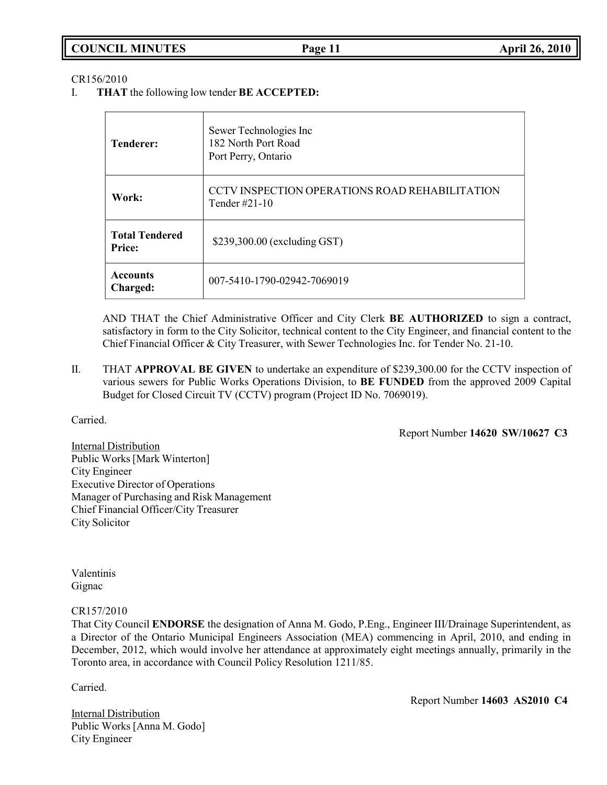| <b>COUNCIL MINUTES</b> | Page 11 | <b>April 26, 2010</b> |
|------------------------|---------|-----------------------|
|                        |         |                       |

#### CR156/2010

I. **THAT** the following low tender **BE ACCEPTED:**

| <b>Tenderer:</b>                       | Sewer Technologies Inc<br>182 North Port Road<br>Port Perry, Ontario |
|----------------------------------------|----------------------------------------------------------------------|
| Work:                                  | CCTV INSPECTION OPERATIONS ROAD REHABILITATION<br>Tender #21-10      |
| <b>Total Tendered</b><br><b>Price:</b> | \$239,300.00 (excluding GST)                                         |
| <b>Accounts</b><br>Charged:            | 007-5410-1790-02942-7069019                                          |

AND THAT the Chief Administrative Officer and City Clerk **BE AUTHORIZED** to sign a contract, satisfactory in form to the City Solicitor, technical content to the City Engineer, and financial content to the Chief Financial Officer & City Treasurer, with Sewer Technologies Inc. for Tender No. 21-10.

II. THAT **APPROVAL BE GIVEN** to undertake an expenditure of \$239,300.00 for the CCTV inspection of various sewers for Public Works Operations Division, to **BE FUNDED** from the approved 2009 Capital Budget for Closed Circuit TV (CCTV) program (Project ID No. 7069019).

Carried.

Report Number **14620 SW/10627 C3**

**Internal Distribution** Public Works[Mark Winterton] City Engineer Executive Director of Operations Manager of Purchasing and Risk Management Chief Financial Officer/City Treasurer City Solicitor

Valentinis Gignac

#### CR157/2010

That City Council **ENDORSE** the designation of Anna M. Godo, P.Eng., Engineer III/Drainage Superintendent, as a Director of the Ontario Municipal Engineers Association (MEA) commencing in April, 2010, and ending in December, 2012, which would involve her attendance at approximately eight meetings annually, primarily in the Toronto area, in accordance with Council Policy Resolution 1211/85.

Carried.

Internal Distribution Public Works [Anna M. Godo] City Engineer

Report Number **14603 AS2010 C4**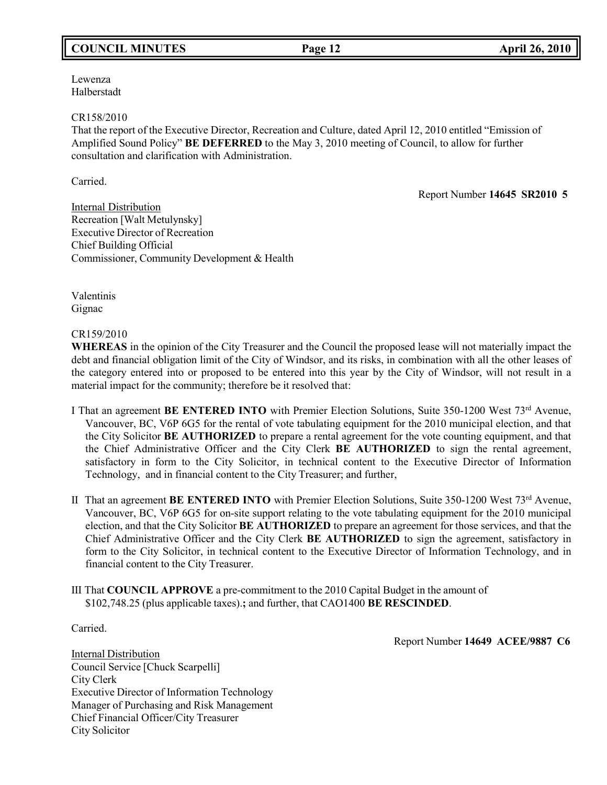# **COUNCIL MINUTES Page 12 April 26, 2010**

Lewenza Halberstadt

#### CR158/2010

That the report of the Executive Director, Recreation and Culture, dated April 12, 2010 entitled "Emission of Amplified Sound Policy" **BE DEFERRED** to the May 3, 2010 meeting of Council, to allow for further consultation and clarification with Administration.

Carried.

Report Number **14645 SR2010 5**

**Internal Distribution** Recreation [Walt Metulynsky] Executive Director of Recreation Chief Building Official Commissioner, Community Development & Health

Valentinis Gignac

CR159/2010

**WHEREAS** in the opinion of the City Treasurer and the Council the proposed lease will not materially impact the debt and financial obligation limit of the City of Windsor, and its risks, in combination with all the other leases of the category entered into or proposed to be entered into this year by the City of Windsor, will not result in a material impact for the community; therefore be it resolved that:

- I That an agreement **BE ENTERED INTO** with Premier Election Solutions, Suite 350-1200 West 73rd Avenue, Vancouver, BC, V6P 6G5 for the rental of vote tabulating equipment for the 2010 municipal election, and that the City Solicitor **BE AUTHORIZED** to prepare a rental agreement for the vote counting equipment, and that the Chief Administrative Officer and the City Clerk **BE AUTHORIZED** to sign the rental agreement, satisfactory in form to the City Solicitor, in technical content to the Executive Director of Information Technology, and in financial content to the City Treasurer; and further,
- II That an agreement **BE ENTERED INTO** with Premier Election Solutions, Suite 350-1200 West 73rd Avenue, Vancouver, BC, V6P 6G5 for on-site support relating to the vote tabulating equipment for the 2010 municipal election, and that the City Solicitor **BE AUTHORIZED** to prepare an agreement for those services, and that the Chief Administrative Officer and the City Clerk **BE AUTHORIZED** to sign the agreement, satisfactory in form to the City Solicitor, in technical content to the Executive Director of Information Technology, and in financial content to the City Treasurer.
- III That **COUNCIL APPROVE** a pre-commitment to the 2010 Capital Budget in the amount of \$102,748.25 (plus applicable taxes).**;** and further, that CAO1400 **BE RESCINDED**.

Carried.

Report Number **14649 ACEE/9887 C6**

Internal Distribution Council Service [Chuck Scarpelli] City Clerk Executive Director of Information Technology Manager of Purchasing and Risk Management Chief Financial Officer/City Treasurer City Solicitor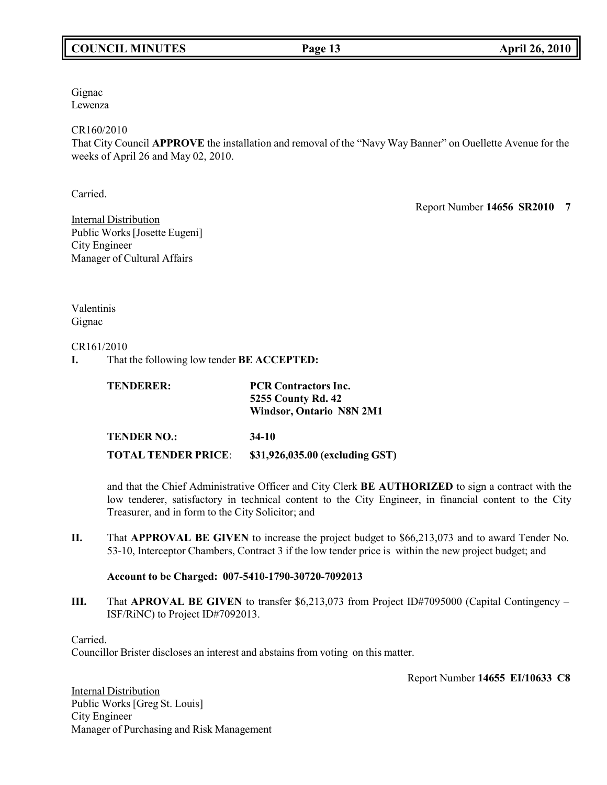# **COUNCIL MINUTES Page 13 April 26, 2010**

Gignac Lewenza

### CR160/2010

That City Council **APPROVE** the installation and removal of the "Navy Way Banner" on Ouellette Avenue for the weeks of April 26 and May 02, 2010.

Carried.

Report Number **14656 SR2010 7**

Internal Distribution Public Works [Josette Eugeni] City Engineer Manager of Cultural Affairs

Valentinis Gignac

### CR161/2010

**I.** That the following low tender **BE ACCEPTED:**

| <b>TENDERER:</b>           | <b>PCR Contractors Inc.</b>     |  |
|----------------------------|---------------------------------|--|
|                            | <b>5255 County Rd. 42</b>       |  |
|                            | <b>Windsor, Ontario N8N 2M1</b> |  |
| <b>TENDER NO.:</b>         | 34-10                           |  |
| <b>TOTAL TENDER PRICE:</b> | \$31,926,035.00 (excluding GST) |  |

and that the Chief Administrative Officer and City Clerk **BE AUTHORIZED** to sign a contract with the low tenderer, satisfactory in technical content to the City Engineer, in financial content to the City Treasurer, and in form to the City Solicitor; and

**II.** That **APPROVAL BE GIVEN** to increase the project budget to \$66,213,073 and to award Tender No. 53-10, Interceptor Chambers, Contract 3 if the low tender price is within the new project budget; and

### **Account to be Charged: 007-5410-1790-30720-7092013**

**III.** That **APROVAL BE GIVEN** to transfer \$6,213,073 from Project ID#7095000 (Capital Contingency – ISF/RiNC) to Project ID#7092013.

Carried.

Councillor Brister discloses an interest and abstains from voting on this matter.

Report Number **14655 EI/10633 C8**

Internal Distribution Public Works [Greg St. Louis] City Engineer Manager of Purchasing and Risk Management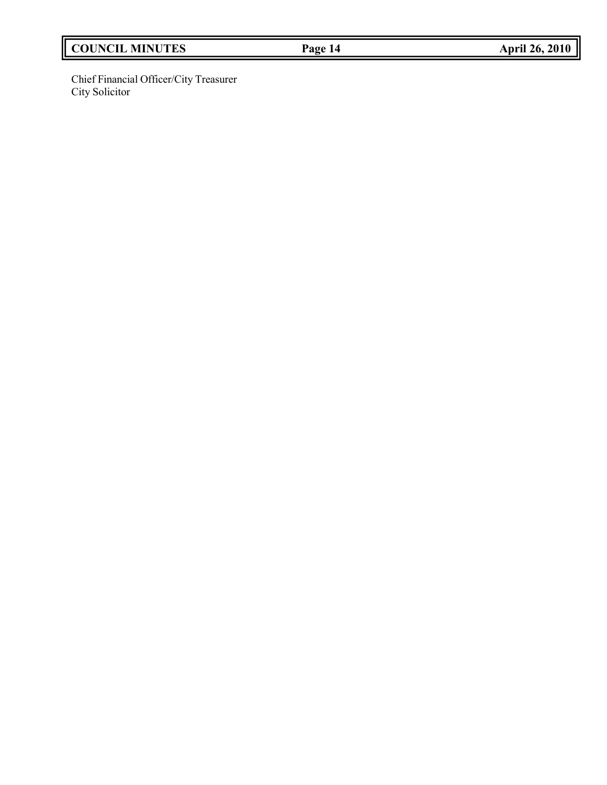# **COUNCIL MINUTES Page 14 April 26, 2010**

Chief Financial Officer/City Treasurer City Solicitor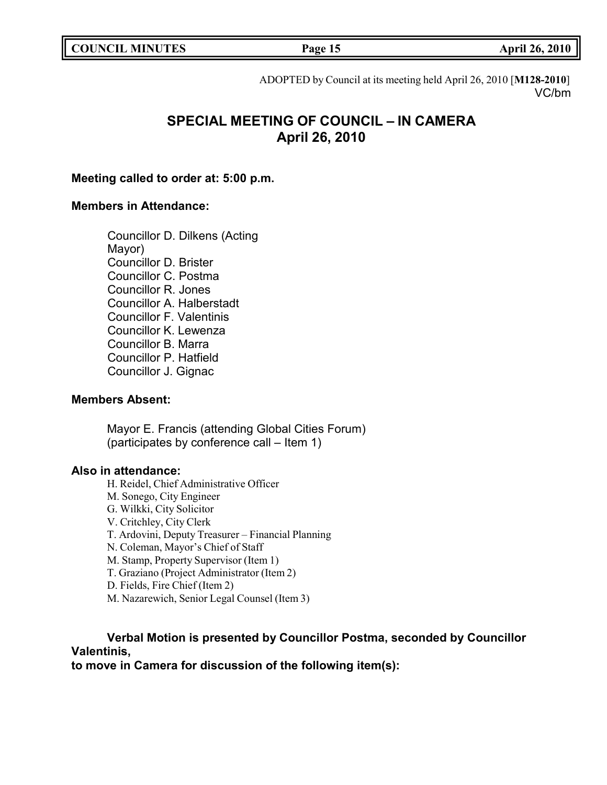| <b>COUNCIL MINUTES</b> |  |
|------------------------|--|
|------------------------|--|

**COUNCIL MINUTES Page 15 April 26, 2010**

ADOPTED by Council at its meeting held April 26, 2010 [**M128-2010**] VC/bm

# **SPECIAL MEETING OF COUNCIL – IN CAMERA April 26, 2010**

### **Meeting called to order at: 5:00 p.m.**

# **Members in Attendance:**

Councillor D. Dilkens (Acting Mayor) Councillor D. Brister Councillor C. Postma Councillor R. Jones Councillor A. Halberstadt Councillor F. Valentinis Councillor K. Lewenza Councillor B. Marra Councillor P. Hatfield Councillor J. Gignac

# **Members Absent:**

Mayor E. Francis (attending Global Cities Forum) (participates by conference call – Item 1)

### **Also in attendance:**

H. Reidel, Chief Administrative Officer M. Sonego, City Engineer G. Wilkki, City Solicitor V. Critchley, City Clerk T. Ardovini, Deputy Treasurer – Financial Planning N. Coleman, Mayor's Chief of Staff M. Stamp, Property Supervisor (Item 1) T. Graziano (Project Administrator (Item 2) D. Fields, Fire Chief (Item 2) M. Nazarewich, Senior Legal Counsel (Item 3)

# **Verbal Motion is presented by Councillor Postma, seconded by Councillor Valentinis,**

**to move in Camera for discussion of the following item(s):**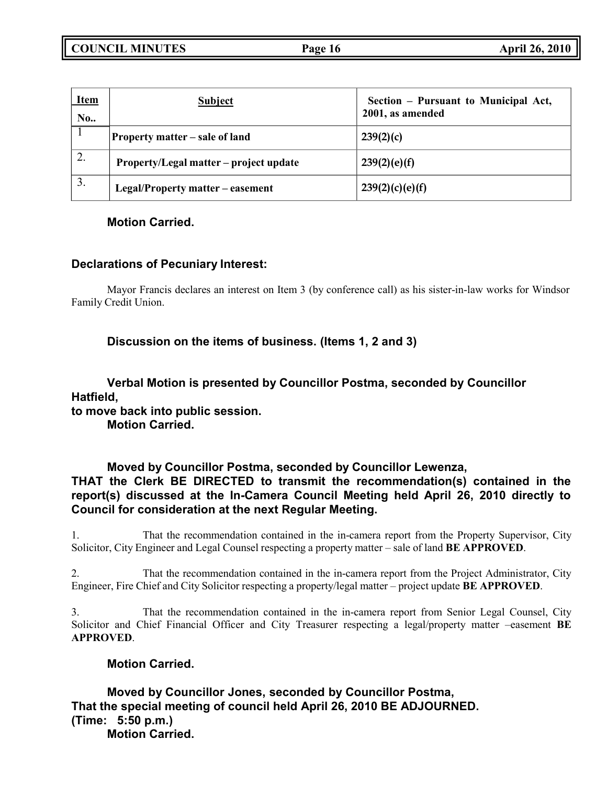| <b>Item</b><br>No. | <b>Subject</b>                         | Section – Pursuant to Municipal Act,<br>2001, as amended |
|--------------------|----------------------------------------|----------------------------------------------------------|
|                    | <b>Property matter – sale of land</b>  | 239(2)(c)                                                |
| ۷.                 | Property/Legal matter – project update | 239(2)(e)(f)                                             |
| 3.                 | Legal/Property matter – easement       | 239(2)(c)(e)(f)                                          |

# **Motion Carried.**

# **Declarations of Pecuniary Interest:**

Mayor Francis declares an interest on Item 3 (by conference call) as his sister-in-law works for Windsor Family Credit Union.

**Discussion on the items of business. (Items 1, 2 and 3)**

**Verbal Motion is presented by Councillor Postma, seconded by Councillor Hatfield,**

**to move back into public session.**

**Motion Carried.**

**Moved by Councillor Postma, seconded by Councillor Lewenza, THAT the Clerk BE DIRECTED to transmit the recommendation(s) contained in the report(s) discussed at the In-Camera Council Meeting held April 26, 2010 directly to Council for consideration at the next Regular Meeting.**

1. That the recommendation contained in the in-camera report from the Property Supervisor, City Solicitor, City Engineer and Legal Counsel respecting a property matter – sale of land **BE APPROVED**.

2. That the recommendation contained in the in-camera report from the Project Administrator, City Engineer, Fire Chief and City Solicitor respecting a property/legal matter – project update **BE APPROVED**.

3. That the recommendation contained in the in-camera report from Senior Legal Counsel, City Solicitor and Chief Financial Officer and City Treasurer respecting a legal/property matter –easement **BE APPROVED**.

# **Motion Carried.**

**Moved by Councillor Jones, seconded by Councillor Postma, That the special meeting of council held April 26, 2010 BE ADJOURNED. (Time: 5:50 p.m.) Motion Carried.**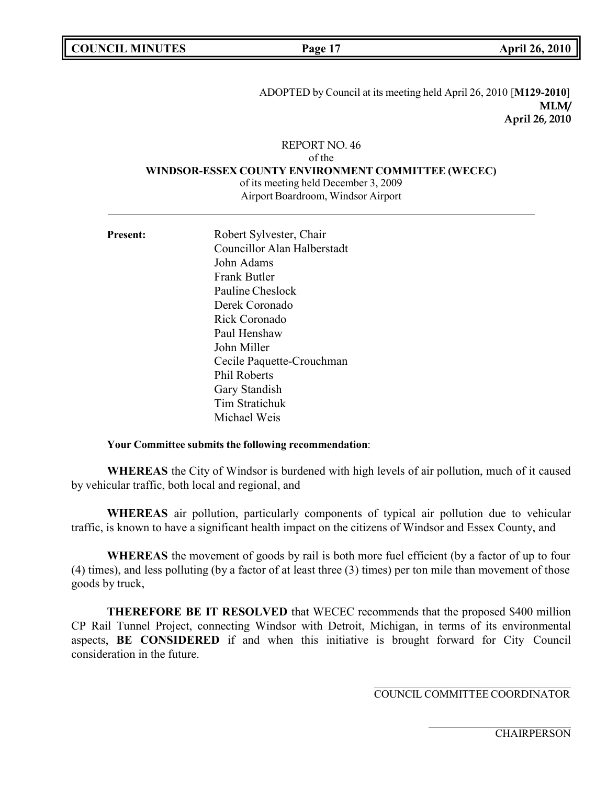| <b>COUNCIL MINUTES</b> |  |
|------------------------|--|
|------------------------|--|

ADOPTED by Council at its meeting held April 26, 2010 [**M129-2010**] **MLM/ April 26, 2010**

### REPORT NO. 46

of the

#### **WINDSOR-ESSEX COUNTY ENVIRONMENT COMMITTEE (WECEC)**

of its meeting held December 3, 2009 Airport Boardroom, Windsor Airport

Present: Robert Sylvester, Chair Councillor Alan Halberstadt John Adams Frank Butler Pauline Cheslock Derek Coronado Rick Coronado Paul Henshaw John Miller Cecile Paquette-Crouchman Phil Roberts Gary Standish Tim Stratichuk Michael Weis

#### **Your Committee submits the following recommendation**:

**WHEREAS** the City of Windsor is burdened with high levels of air pollution, much of it caused by vehicular traffic, both local and regional, and

**WHEREAS** air pollution, particularly components of typical air pollution due to vehicular traffic, is known to have a significant health impact on the citizens of Windsor and Essex County, and

**WHEREAS** the movement of goods by rail is both more fuel efficient (by a factor of up to four (4) times), and less polluting (by a factor of at least three (3) times) per ton mile than movement of those goods by truck,

**THEREFORE BE IT RESOLVED** that WECEC recommends that the proposed \$400 million CP Rail Tunnel Project, connecting Windsor with Detroit, Michigan, in terms of its environmental aspects, **BE CONSIDERED** if and when this initiative is brought forward for City Council consideration in the future.

COUNCIL COMMITTEE COORDINATOR

**CHAIRPERSON**